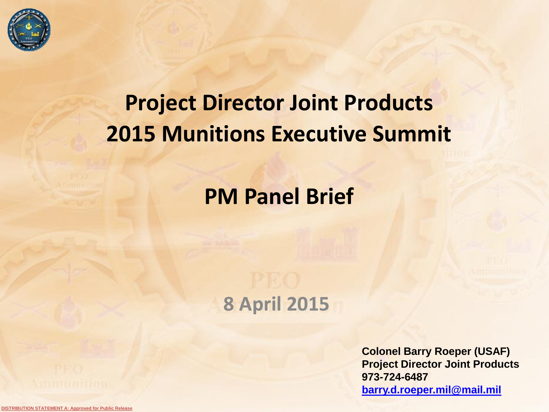

# **Project Director Joint Products 2015 Munitions Executive Summit**

## **PM Panel Brief**

### **8 April 2015**

**Colonel Barry Roeper (USAF) Project Director Joint Products 973-724-6487 [barry.d.roeper.mil@mail.mil](mailto:kathryn.m.mcginley.civ@mail.mil)**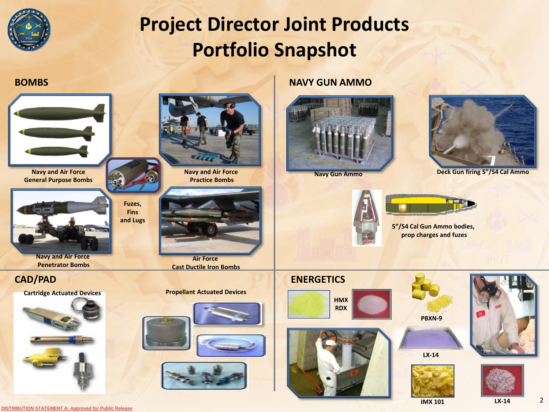

### **Project Director Joint Products Portfolio Snapshot**

**BOMBS**



**General Purpose Bombs**

**Fuzes, Fins and Lugs**

**Navy and Air Force Penetrator Bombs**



**Cartridge Actuated Devices Propellant Actuated Devices**





**Air Force Cast Ductile Iron Bombs**

#### **NAVY GUN AMMO**





**Navy Gun Ammo Deck Gun firing 5"/54 Cal Ammo**





**5"/54 Cal Gun Ammo bodies, prop charges and fuzes**













**IMX 101 LX-14**

2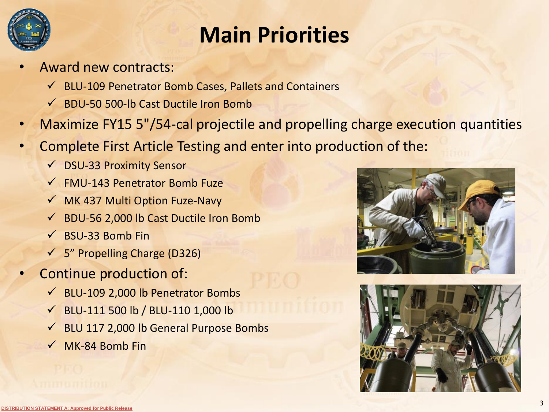

# **Main Priorities**

- Award new contracts:
	- $\checkmark$  BLU-109 Penetrator Bomb Cases, Pallets and Containers
	- $\overline{\smash{\bigtriangledown}}$  BDU-50 500-lb Cast Ductile Iron Bomb
- Maximize FY15 5"/54-cal projectile and propelling charge execution quantities
- Complete First Article Testing and enter into production of the:
	- DSU-33 Proximity Sensor
	- FMU-143 Penetrator Bomb Fuze
	- $\sqrt{M}$  MK 437 Multi Option Fuze-Navy
	- $\checkmark$  BDU-56 2,000 lb Cast Ductile Iron Bomb
	- $\checkmark$  BSU-33 Bomb Fin
	- $\checkmark$  5" Propelling Charge (D326)
- Continue production of:
	- $\checkmark$  BLU-109 2,000 lb Penetrator Bombs
	- $\checkmark$  BLU-111 500 lb / BLU-110 1,000 lb
	- $\checkmark$  BLU 117 2,000 lb General Purpose Bombs
	- $\checkmark$  MK-84 Bomb Fin



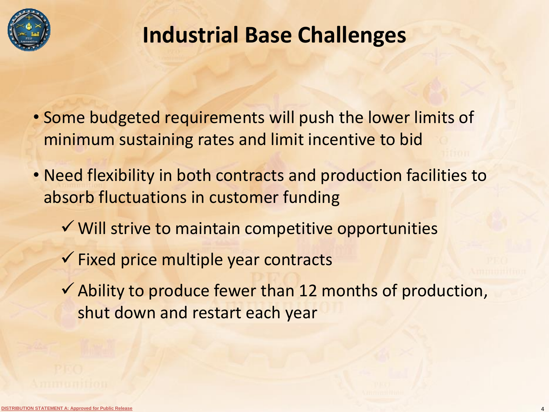

# **Industrial Base Challenges**

- Some budgeted requirements will push the lower limits of minimum sustaining rates and limit incentive to bid
- Need flexibility in both contracts and production facilities to absorb fluctuations in customer funding
	- $\checkmark$  Will strive to maintain competitive opportunities
	- $\checkmark$  Fixed price multiple year contracts
	- $\checkmark$  Ability to produce fewer than 12 months of production, shut down and restart each year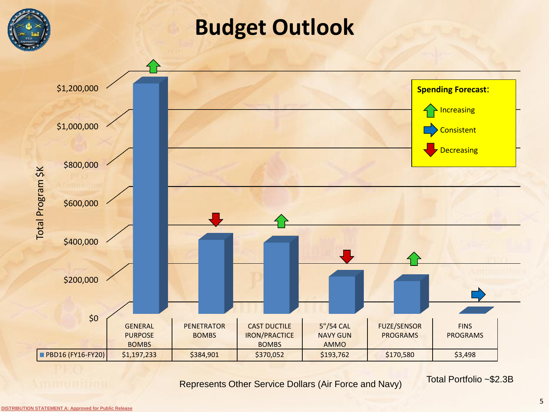

Total Portfolio ~\$2.3B Represents Other Service Dollars (Air Force and Navy)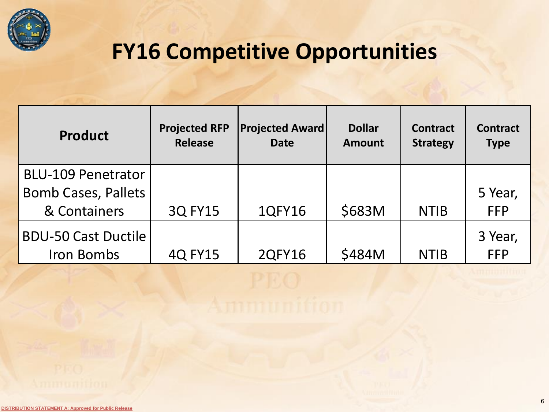

# **FY16 Competitive Opportunities**

| <b>Product</b>                                                          | <b>Projected RFP</b><br><b>Release</b> | <b>Projected Award</b><br><b>Date</b> | <b>Dollar</b><br><b>Amount</b> | <b>Contract</b><br><b>Strategy</b> | <b>Contract</b><br><b>Type</b> |
|-------------------------------------------------------------------------|----------------------------------------|---------------------------------------|--------------------------------|------------------------------------|--------------------------------|
| <b>BLU-109 Penetrator</b><br><b>Bomb Cases, Pallets</b><br>& Containers | <b>3Q FY15</b>                         | 1QFY16                                | \$683M                         | <b>NTIB</b>                        | 5 Year,<br><b>FFP</b>          |
| <b>BDU-50 Cast Ductile</b><br><b>Iron Bombs</b>                         | <b>4Q FY15</b>                         | <b>2QFY16</b>                         | \$484M                         | <b>NTIB</b>                        | 3 Year,<br><b>FFP</b>          |